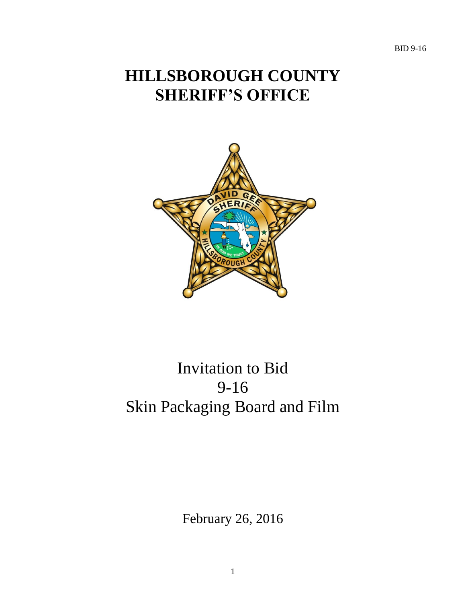BID 9-16

# **HILLSBOROUGH COUNTY SHERIFF'S OFFICE**



# Invitation to Bid 9-16 Skin Packaging Board and Film

February 26, 2016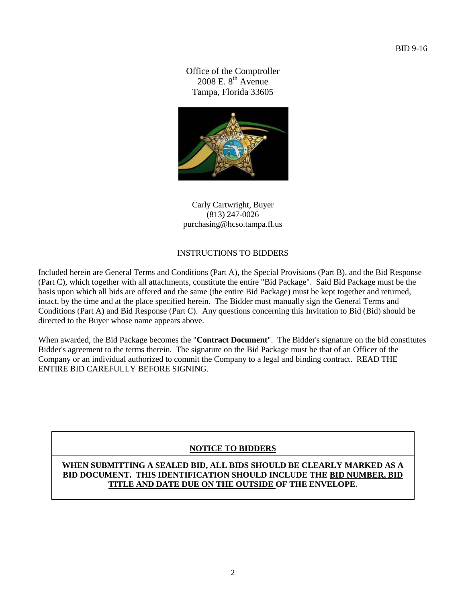Office of the Comptroller 2008 E.  $8^{th}$  Avenue Tampa, Florida 33605



Carly Cartwright, Buyer (813) 247-0026 purchasing@hcso.tampa.fl.us

# INSTRUCTIONS TO BIDDERS

Included herein are General Terms and Conditions (Part A), the Special Provisions (Part B), and the Bid Response (Part C), which together with all attachments, constitute the entire "Bid Package". Said Bid Package must be the basis upon which all bids are offered and the same (the entire Bid Package) must be kept together and returned, intact, by the time and at the place specified herein. The Bidder must manually sign the General Terms and Conditions (Part A) and Bid Response (Part C). Any questions concerning this Invitation to Bid (Bid) should be directed to the Buyer whose name appears above.

When awarded, the Bid Package becomes the "**Contract Document**". The Bidder's signature on the bid constitutes Bidder's agreement to the terms therein. The signature on the Bid Package must be that of an Officer of the Company or an individual authorized to commit the Company to a legal and binding contract. READ THE ENTIRE BID CAREFULLY BEFORE SIGNING.

# **NOTICE TO BIDDERS**

**WHEN SUBMITTING A SEALED BID, ALL BIDS SHOULD BE CLEARLY MARKED AS A BID DOCUMENT. THIS IDENTIFICATION SHOULD INCLUDE THE BID NUMBER, BID TITLE AND DATE DUE ON THE OUTSIDE OF THE ENVELOPE**.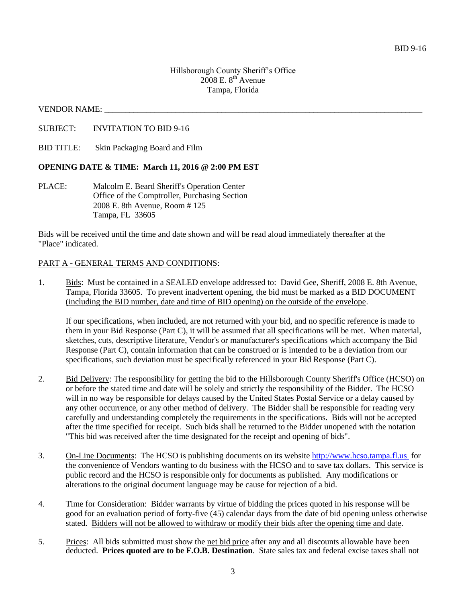#### VENDOR NAME:

SUBJECT: INVITATION TO BID 9-16

BID TITLE: Skin Packaging Board and Film

#### **OPENING DATE & TIME: March 11, 2016 @ 2:00 PM EST**

PLACE: Malcolm E. Beard Sheriff's Operation Center Office of the Comptroller, Purchasing Section 2008 E. 8th Avenue, Room # 125 Tampa, FL 33605

Bids will be received until the time and date shown and will be read aloud immediately thereafter at the "Place" indicated.

#### PART A - GENERAL TERMS AND CONDITIONS:

1. Bids: Must be contained in a SEALED envelope addressed to: David Gee, Sheriff, 2008 E. 8th Avenue, Tampa, Florida 33605. To prevent inadvertent opening, the bid must be marked as a BID DOCUMENT (including the BID number, date and time of BID opening) on the outside of the envelope.

If our specifications, when included, are not returned with your bid, and no specific reference is made to them in your Bid Response (Part C), it will be assumed that all specifications will be met. When material, sketches, cuts, descriptive literature, Vendor's or manufacturer's specifications which accompany the Bid Response (Part C), contain information that can be construed or is intended to be a deviation from our specifications, such deviation must be specifically referenced in your Bid Response (Part C).

- 2. Bid Delivery: The responsibility for getting the bid to the Hillsborough County Sheriff's Office (HCSO) on or before the stated time and date will be solely and strictly the responsibility of the Bidder. The HCSO will in no way be responsible for delays caused by the United States Postal Service or a delay caused by any other occurrence, or any other method of delivery. The Bidder shall be responsible for reading very carefully and understanding completely the requirements in the specifications. Bids will not be accepted after the time specified for receipt. Such bids shall be returned to the Bidder unopened with the notation "This bid was received after the time designated for the receipt and opening of bids".
- 3. On-Line Documents: The HCSO is publishing documents on its website [http://www.hcso.tampa.fl.us](http://www.hcso.tampa.fl.us/) for the convenience of Vendors wanting to do business with the HCSO and to save tax dollars. This service is public record and the HCSO is responsible only for documents as published. Any modifications or alterations to the original document language may be cause for rejection of a bid.
- 4. Time for Consideration: Bidder warrants by virtue of bidding the prices quoted in his response will be good for an evaluation period of forty-five (45) calendar days from the date of bid opening unless otherwise stated. Bidders will not be allowed to withdraw or modify their bids after the opening time and date.
- 5. Prices: All bids submitted must show the net bid price after any and all discounts allowable have been deducted. **Prices quoted are to be F.O.B. Destination**. State sales tax and federal excise taxes shall not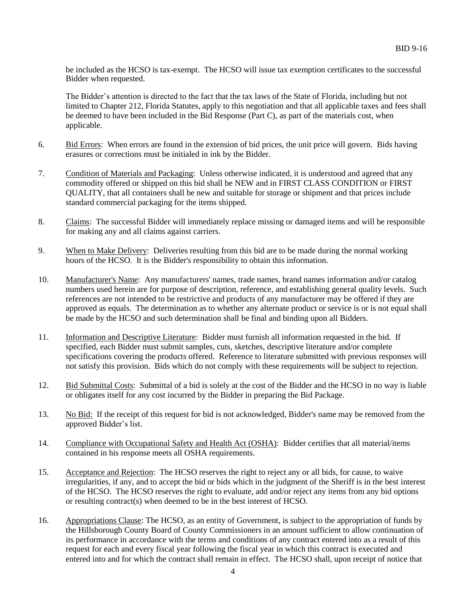be included as the HCSO is tax-exempt. The HCSO will issue tax exemption certificates to the successful Bidder when requested.

The Bidder's attention is directed to the fact that the tax laws of the State of Florida, including but not limited to Chapter 212, Florida Statutes, apply to this negotiation and that all applicable taxes and fees shall be deemed to have been included in the Bid Response (Part C), as part of the materials cost, when applicable.

- 6. Bid Errors: When errors are found in the extension of bid prices, the unit price will govern. Bids having erasures or corrections must be initialed in ink by the Bidder.
- 7. Condition of Materials and Packaging: Unless otherwise indicated, it is understood and agreed that any commodity offered or shipped on this bid shall be NEW and in FIRST CLASS CONDITION or FIRST QUALITY, that all containers shall be new and suitable for storage or shipment and that prices include standard commercial packaging for the items shipped.
- 8. Claims: The successful Bidder will immediately replace missing or damaged items and will be responsible for making any and all claims against carriers.
- 9. When to Make Delivery: Deliveries resulting from this bid are to be made during the normal working hours of the HCSO. It is the Bidder's responsibility to obtain this information.
- 10. Manufacturer's Name: Any manufacturers' names, trade names, brand names information and/or catalog numbers used herein are for purpose of description, reference, and establishing general quality levels. Such references are not intended to be restrictive and products of any manufacturer may be offered if they are approved as equals. The determination as to whether any alternate product or service is or is not equal shall be made by the HCSO and such determination shall be final and binding upon all Bidders.
- 11. Information and Descriptive Literature: Bidder must furnish all information requested in the bid. If specified, each Bidder must submit samples, cuts, sketches, descriptive literature and/or complete specifications covering the products offered. Reference to literature submitted with previous responses will not satisfy this provision. Bids which do not comply with these requirements will be subject to rejection.
- 12. Bid Submittal Costs: Submittal of a bid is solely at the cost of the Bidder and the HCSO in no way is liable or obligates itself for any cost incurred by the Bidder in preparing the Bid Package.
- 13. No Bid: If the receipt of this request for bid is not acknowledged, Bidder's name may be removed from the approved Bidder's list.
- 14. Compliance with Occupational Safety and Health Act (OSHA): Bidder certifies that all material/items contained in his response meets all OSHA requirements.
- 15. Acceptance and Rejection: The HCSO reserves the right to reject any or all bids, for cause, to waive irregularities, if any, and to accept the bid or bids which in the judgment of the Sheriff is in the best interest of the HCSO. The HCSO reserves the right to evaluate, add and/or reject any items from any bid options or resulting contract(s) when deemed to be in the best interest of HCSO.
- 16. Appropriations Clause: The HCSO, as an entity of Government, is subject to the appropriation of funds by the Hillsborough County Board of County Commissioners in an amount sufficient to allow continuation of its performance in accordance with the terms and conditions of any contract entered into as a result of this request for each and every fiscal year following the fiscal year in which this contract is executed and entered into and for which the contract shall remain in effect. The HCSO shall, upon receipt of notice that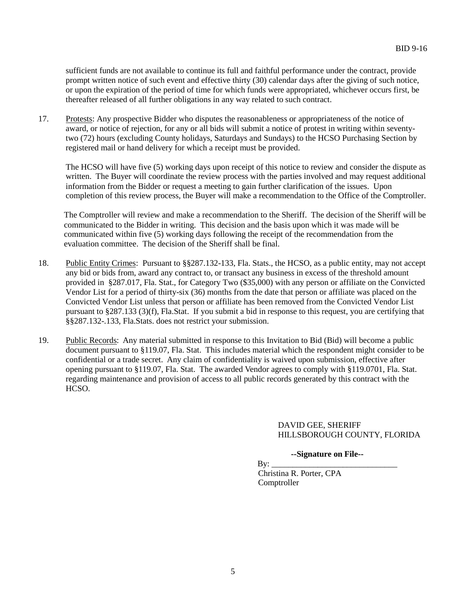sufficient funds are not available to continue its full and faithful performance under the contract, provide prompt written notice of such event and effective thirty (30) calendar days after the giving of such notice, or upon the expiration of the period of time for which funds were appropriated, whichever occurs first, be thereafter released of all further obligations in any way related to such contract.

17. Protests: Any prospective Bidder who disputes the reasonableness or appropriateness of the notice of award, or notice of rejection, for any or all bids will submit a notice of protest in writing within seventytwo (72) hours (excluding County holidays, Saturdays and Sundays) to the HCSO Purchasing Section by registered mail or hand delivery for which a receipt must be provided.

The HCSO will have five (5) working days upon receipt of this notice to review and consider the dispute as written. The Buyer will coordinate the review process with the parties involved and may request additional information from the Bidder or request a meeting to gain further clarification of the issues. Upon completion of this review process, the Buyer will make a recommendation to the Office of the Comptroller.

The Comptroller will review and make a recommendation to the Sheriff. The decision of the Sheriff will be communicated to the Bidder in writing. This decision and the basis upon which it was made will be communicated within five (5) working days following the receipt of the recommendation from the evaluation committee. The decision of the Sheriff shall be final.

- 18. Public Entity Crimes: Pursuant to §§287.132-133, Fla. Stats., the HCSO, as a public entity, may not accept any bid or bids from, award any contract to, or transact any business in excess of the threshold amount provided in §287.017, Fla. Stat., for Category Two (\$35,000) with any person or affiliate on the Convicted Vendor List for a period of thirty-six (36) months from the date that person or affiliate was placed on the Convicted Vendor List unless that person or affiliate has been removed from the Convicted Vendor List pursuant to §287.133 (3)(f), Fla.Stat. If you submit a bid in response to this request, you are certifying that §§287.132-.133, Fla.Stats. does not restrict your submission.
- 19. Public Records: Any material submitted in response to this Invitation to Bid (Bid) will become a public document pursuant to §119.07, Fla. Stat. This includes material which the respondent might consider to be confidential or a trade secret. Any claim of confidentiality is waived upon submission, effective after opening pursuant to §119.07, Fla. Stat. The awarded Vendor agrees to comply with §119.0701, Fla. Stat. regarding maintenance and provision of access to all public records generated by this contract with the HCSO.

## DAVID GEE, SHERIFF HILLSBOROUGH COUNTY, FLORIDA

## **--Signature on File--**

 By: \_\_\_\_\_\_\_\_\_\_\_\_\_\_\_\_\_\_\_\_\_\_\_\_\_\_\_\_\_\_ Christina R. Porter, CPA Comptroller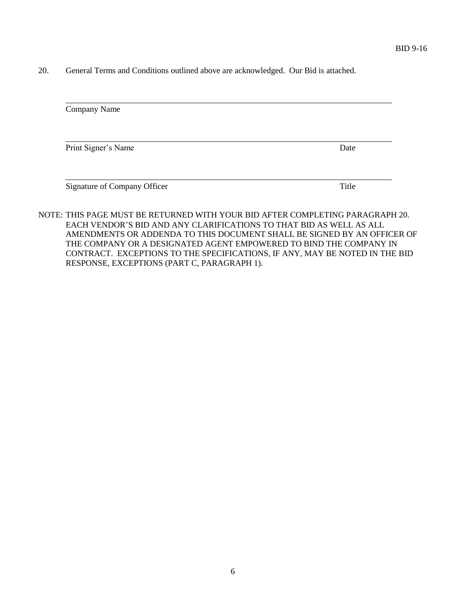20. General Terms and Conditions outlined above are acknowledged. Our Bid is attached.

| Company Name                 |       |
|------------------------------|-------|
| Print Signer's Name          | Date  |
| Signature of Company Officer | Title |

NOTE: THIS PAGE MUST BE RETURNED WITH YOUR BID AFTER COMPLETING PARAGRAPH 20. EACH VENDOR'S BID AND ANY CLARIFICATIONS TO THAT BID AS WELL AS ALL AMENDMENTS OR ADDENDA TO THIS DOCUMENT SHALL BE SIGNED BY AN OFFICER OF THE COMPANY OR A DESIGNATED AGENT EMPOWERED TO BIND THE COMPANY IN CONTRACT. EXCEPTIONS TO THE SPECIFICATIONS, IF ANY, MAY BE NOTED IN THE BID RESPONSE, EXCEPTIONS (PART C, PARAGRAPH 1).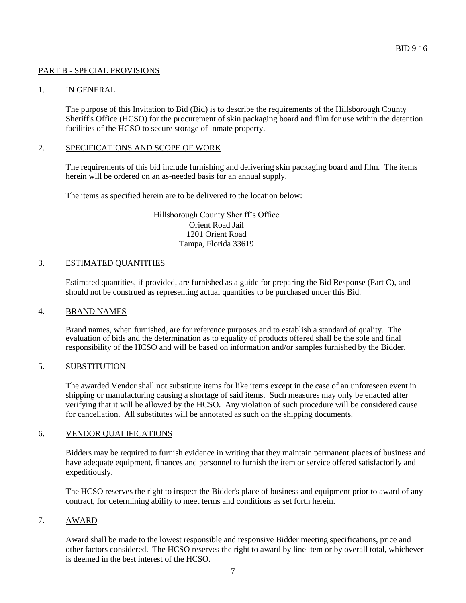#### PART B - SPECIAL PROVISIONS

#### 1. IN GENERAL

The purpose of this Invitation to Bid (Bid) is to describe the requirements of the Hillsborough County Sheriff's Office (HCSO) for the procurement of skin packaging board and film for use within the detention facilities of the HCSO to secure storage of inmate property.

#### 2. SPECIFICATIONS AND SCOPE OF WORK

The requirements of this bid include furnishing and delivering skin packaging board and film. The items herein will be ordered on an as-needed basis for an annual supply.

The items as specified herein are to be delivered to the location below:

Hillsborough County Sheriff's Office Orient Road Jail 1201 Orient Road Tampa, Florida 33619

#### 3. ESTIMATED QUANTITIES

Estimated quantities, if provided, are furnished as a guide for preparing the Bid Response (Part C), and should not be construed as representing actual quantities to be purchased under this Bid.

#### 4. BRAND NAMES

Brand names, when furnished, are for reference purposes and to establish a standard of quality. The evaluation of bids and the determination as to equality of products offered shall be the sole and final responsibility of the HCSO and will be based on information and/or samples furnished by the Bidder.

#### 5. SUBSTITUTION

The awarded Vendor shall not substitute items for like items except in the case of an unforeseen event in shipping or manufacturing causing a shortage of said items. Such measures may only be enacted after verifying that it will be allowed by the HCSO. Any violation of such procedure will be considered cause for cancellation. All substitutes will be annotated as such on the shipping documents.

# 6. VENDOR QUALIFICATIONS

Bidders may be required to furnish evidence in writing that they maintain permanent places of business and have adequate equipment, finances and personnel to furnish the item or service offered satisfactorily and expeditiously.

The HCSO reserves the right to inspect the Bidder's place of business and equipment prior to award of any contract, for determining ability to meet terms and conditions as set forth herein.

### 7. AWARD

Award shall be made to the lowest responsible and responsive Bidder meeting specifications, price and other factors considered. The HCSO reserves the right to award by line item or by overall total, whichever is deemed in the best interest of the HCSO.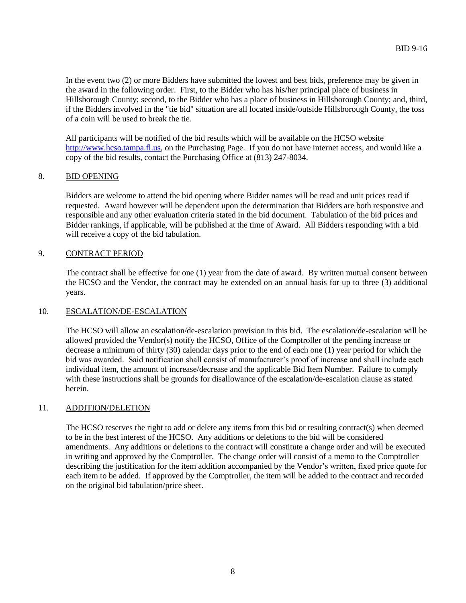In the event two (2) or more Bidders have submitted the lowest and best bids, preference may be given in the award in the following order. First, to the Bidder who has his/her principal place of business in Hillsborough County; second, to the Bidder who has a place of business in Hillsborough County; and, third, if the Bidders involved in the "tie bid" situation are all located inside/outside Hillsborough County, the toss of a coin will be used to break the tie.

All participants will be notified of the bid results which will be available on the HCSO website http://www.hcso.tampa.fl.us, on the Purchasing Page. If you do not have internet access, and would like a copy of the bid results, contact the Purchasing Office at (813) 247-8034.

# 8. BID OPENING

Bidders are welcome to attend the bid opening where Bidder names will be read and unit prices read if requested. Award however will be dependent upon the determination that Bidders are both responsive and responsible and any other evaluation criteria stated in the bid document. Tabulation of the bid prices and Bidder rankings, if applicable, will be published at the time of Award. All Bidders responding with a bid will receive a copy of the bid tabulation.

## 9. CONTRACT PERIOD

The contract shall be effective for one (1) year from the date of award. By written mutual consent between the HCSO and the Vendor, the contract may be extended on an annual basis for up to three (3) additional years.

## 10. ESCALATION/DE-ESCALATION

The HCSO will allow an escalation/de-escalation provision in this bid. The escalation/de-escalation will be allowed provided the Vendor(s) notify the HCSO, Office of the Comptroller of the pending increase or decrease a minimum of thirty (30) calendar days prior to the end of each one (1) year period for which the bid was awarded. Said notification shall consist of manufacturer's proof of increase and shall include each individual item, the amount of increase/decrease and the applicable Bid Item Number. Failure to comply with these instructions shall be grounds for disallowance of the escalation/de-escalation clause as stated herein.

## 11. ADDITION/DELETION

The HCSO reserves the right to add or delete any items from this bid or resulting contract(s) when deemed to be in the best interest of the HCSO. Any additions or deletions to the bid will be considered amendments. Any additions or deletions to the contract will constitute a change order and will be executed in writing and approved by the Comptroller. The change order will consist of a memo to the Comptroller describing the justification for the item addition accompanied by the Vendor's written, fixed price quote for each item to be added. If approved by the Comptroller, the item will be added to the contract and recorded on the original bid tabulation/price sheet.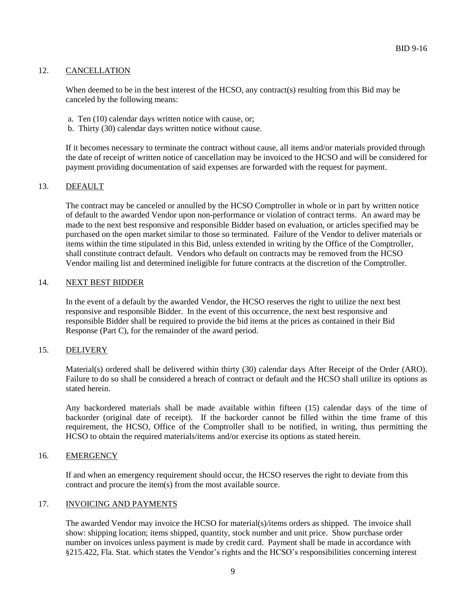### 12. CANCELLATION

When deemed to be in the best interest of the HCSO, any contract(s) resulting from this Bid may be canceled by the following means:

- a. Ten (10) calendar days written notice with cause, or;
- b. Thirty (30) calendar days written notice without cause.

If it becomes necessary to terminate the contract without cause, all items and/or materials provided through the date of receipt of written notice of cancellation may be invoiced to the HCSO and will be considered for payment providing documentation of said expenses are forwarded with the request for payment.

#### 13. DEFAULT

The contract may be canceled or annulled by the HCSO Comptroller in whole or in part by written notice of default to the awarded Vendor upon non-performance or violation of contract terms. An award may be made to the next best responsive and responsible Bidder based on evaluation, or articles specified may be purchased on the open market similar to those so terminated. Failure of the Vendor to deliver materials or items within the time stipulated in this Bid, unless extended in writing by the Office of the Comptroller, shall constitute contract default. Vendors who default on contracts may be removed from the HCSO Vendor mailing list and determined ineligible for future contracts at the discretion of the Comptroller.

#### 14. NEXT BEST BIDDER

In the event of a default by the awarded Vendor, the HCSO reserves the right to utilize the next best responsive and responsible Bidder. In the event of this occurrence, the next best responsive and responsible Bidder shall be required to provide the bid items at the prices as contained in their Bid Response (Part C), for the remainder of the award period.

#### 15. DELIVERY

Material(s) ordered shall be delivered within thirty (30) calendar days After Receipt of the Order (ARO). Failure to do so shall be considered a breach of contract or default and the HCSO shall utilize its options as stated herein.

Any backordered materials shall be made available within fifteen (15) calendar days of the time of backorder (original date of receipt). If the backorder cannot be filled within the time frame of this requirement, the HCSO, Office of the Comptroller shall to be notified, in writing, thus permitting the HCSO to obtain the required materials/items and/or exercise its options as stated herein.

#### 16. EMERGENCY

If and when an emergency requirement should occur, the HCSO reserves the right to deviate from this contract and procure the item(s) from the most available source.

#### 17. INVOICING AND PAYMENTS

The awarded Vendor may invoice the HCSO for material(s)/items orders as shipped. The invoice shall show: shipping location; items shipped, quantity, stock number and unit price. Show purchase order number on invoices unless payment is made by credit card. Payment shall be made in accordance with §215.422, Fla. Stat. which states the Vendor's rights and the HCSO's responsibilities concerning interest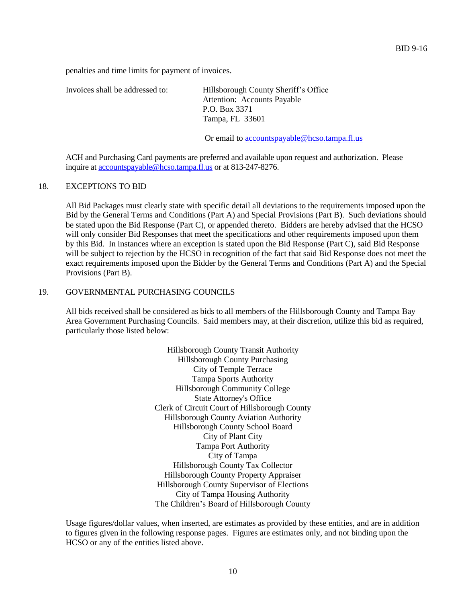penalties and time limits for payment of invoices.

Invoices shall be addressed to: Hillsborough County Sheriff's Office Attention: Accounts Payable P.O. Box 3371 Tampa, FL 33601

Or email to [accountspayable@hcso.tampa.fl.us](mailto:accountspayable@hcso.tampa.fl.us)

ACH and Purchasing Card payments are preferred and available upon request and authorization. Please inquire at [accountspayable@hcso.tampa.fl.us](mailto:accountspayable@hcso.tampa.fl.us) or at 813-247-8276.

#### 18. EXCEPTIONS TO BID

All Bid Packages must clearly state with specific detail all deviations to the requirements imposed upon the Bid by the General Terms and Conditions (Part A) and Special Provisions (Part B). Such deviations should be stated upon the Bid Response (Part C), or appended thereto. Bidders are hereby advised that the HCSO will only consider Bid Responses that meet the specifications and other requirements imposed upon them by this Bid. In instances where an exception is stated upon the Bid Response (Part C), said Bid Response will be subject to rejection by the HCSO in recognition of the fact that said Bid Response does not meet the exact requirements imposed upon the Bidder by the General Terms and Conditions (Part A) and the Special Provisions (Part B).

#### 19. GOVERNMENTAL PURCHASING COUNCILS

All bids received shall be considered as bids to all members of the Hillsborough County and Tampa Bay Area Government Purchasing Councils. Said members may, at their discretion, utilize this bid as required, particularly those listed below:

> Hillsborough County Transit Authority Hillsborough County Purchasing City of Temple Terrace Tampa Sports Authority Hillsborough Community College State Attorney's Office Clerk of Circuit Court of Hillsborough County Hillsborough County Aviation Authority Hillsborough County School Board City of Plant City Tampa Port Authority City of Tampa Hillsborough County Tax Collector Hillsborough County Property Appraiser Hillsborough County Supervisor of Elections City of Tampa Housing Authority The Children's Board of Hillsborough County

Usage figures/dollar values, when inserted, are estimates as provided by these entities, and are in addition to figures given in the following response pages. Figures are estimates only, and not binding upon the HCSO or any of the entities listed above.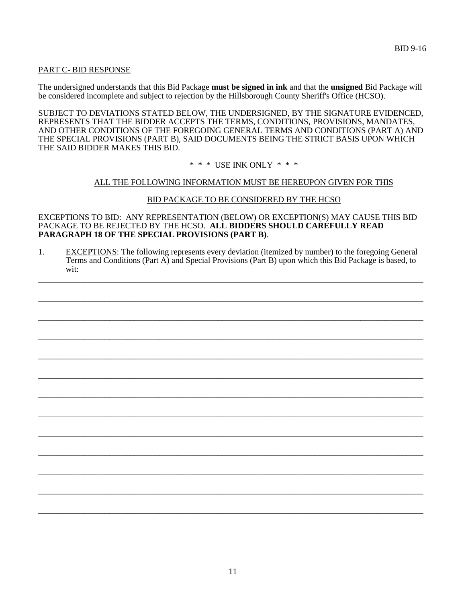## PART C- BID RESPONSE

The undersigned understands that this Bid Package **must be signed in ink** and that the **unsigned** Bid Package will be considered incomplete and subject to rejection by the Hillsborough County Sheriff's Office (HCSO).

SUBJECT TO DEVIATIONS STATED BELOW, THE UNDERSIGNED, BY THE SIGNATURE EVIDENCED, REPRESENTS THAT THE BIDDER ACCEPTS THE TERMS, CONDITIONS, PROVISIONS, MANDATES, AND OTHER CONDITIONS OF THE FOREGOING GENERAL TERMS AND CONDITIONS (PART A) AND THE SPECIAL PROVISIONS (PART B), SAID DOCUMENTS BEING THE STRICT BASIS UPON WHICH THE SAID BIDDER MAKES THIS BID.

\* \* \* USE INK ONLY \* \* \*

# ALL THE FOLLOWING INFORMATION MUST BE HEREUPON GIVEN FOR THIS

## BID PACKAGE TO BE CONSIDERED BY THE HCSO

EXCEPTIONS TO BID: ANY REPRESENTATION (BELOW) OR EXCEPTION(S) MAY CAUSE THIS BID PACKAGE TO BE REJECTED BY THE HCSO. **ALL BIDDERS SHOULD CAREFULLY READ PARAGRAPH 18 OF THE SPECIAL PROVISIONS (PART B)**.

1. EXCEPTIONS: The following represents every deviation (itemized by number) to the foregoing General Terms and Conditions (Part A) and Special Provisions (Part B) upon which this Bid Package is based, to wit:

\_\_\_\_\_\_\_\_\_\_\_\_\_\_\_\_\_\_\_\_\_\_\_\_\_\_\_\_\_\_\_\_\_\_\_\_\_\_\_\_\_\_\_\_\_\_\_\_\_\_\_\_\_\_\_\_\_\_\_\_\_\_\_\_\_\_\_\_\_\_\_\_\_\_\_\_\_\_\_\_\_\_\_\_\_\_\_\_\_\_\_\_

\_\_\_\_\_\_\_\_\_\_\_\_\_\_\_\_\_\_\_\_\_\_\_\_\_\_\_\_\_\_\_\_\_\_\_\_\_\_\_\_\_\_\_\_\_\_\_\_\_\_\_\_\_\_\_\_\_\_\_\_\_\_\_\_\_\_\_\_\_\_\_\_\_\_\_\_\_\_\_\_\_\_\_\_\_\_\_\_\_\_\_\_

\_\_\_\_\_\_\_\_\_\_\_\_\_\_\_\_\_\_\_\_\_\_\_\_\_\_\_\_\_\_\_\_\_\_\_\_\_\_\_\_\_\_\_\_\_\_\_\_\_\_\_\_\_\_\_\_\_\_\_\_\_\_\_\_\_\_\_\_\_\_\_\_\_\_\_\_\_\_\_\_\_\_\_\_\_\_\_\_\_\_\_\_

\_\_\_\_\_\_\_\_\_\_\_\_\_\_\_\_\_\_\_\_\_\_\_\_\_\_\_\_\_\_\_\_\_\_\_\_\_\_\_\_\_\_\_\_\_\_\_\_\_\_\_\_\_\_\_\_\_\_\_\_\_\_\_\_\_\_\_\_\_\_\_\_\_\_\_\_\_\_\_\_\_\_\_\_\_\_\_\_\_\_\_\_

\_\_\_\_\_\_\_\_\_\_\_\_\_\_\_\_\_\_\_\_\_\_\_\_\_\_\_\_\_\_\_\_\_\_\_\_\_\_\_\_\_\_\_\_\_\_\_\_\_\_\_\_\_\_\_\_\_\_\_\_\_\_\_\_\_\_\_\_\_\_\_\_\_\_\_\_\_\_\_\_\_\_\_\_\_\_\_\_\_\_\_\_

\_\_\_\_\_\_\_\_\_\_\_\_\_\_\_\_\_\_\_\_\_\_\_\_\_\_\_\_\_\_\_\_\_\_\_\_\_\_\_\_\_\_\_\_\_\_\_\_\_\_\_\_\_\_\_\_\_\_\_\_\_\_\_\_\_\_\_\_\_\_\_\_\_\_\_\_\_\_\_\_\_\_\_\_\_\_\_\_\_\_\_\_

\_\_\_\_\_\_\_\_\_\_\_\_\_\_\_\_\_\_\_\_\_\_\_\_\_\_\_\_\_\_\_\_\_\_\_\_\_\_\_\_\_\_\_\_\_\_\_\_\_\_\_\_\_\_\_\_\_\_\_\_\_\_\_\_\_\_\_\_\_\_\_\_\_\_\_\_\_\_\_\_\_\_\_\_\_\_\_\_\_\_\_\_

\_\_\_\_\_\_\_\_\_\_\_\_\_\_\_\_\_\_\_\_\_\_\_\_\_\_\_\_\_\_\_\_\_\_\_\_\_\_\_\_\_\_\_\_\_\_\_\_\_\_\_\_\_\_\_\_\_\_\_\_\_\_\_\_\_\_\_\_\_\_\_\_\_\_\_\_\_\_\_\_\_\_\_\_\_\_\_\_\_\_\_\_

\_\_\_\_\_\_\_\_\_\_\_\_\_\_\_\_\_\_\_\_\_\_\_\_\_\_\_\_\_\_\_\_\_\_\_\_\_\_\_\_\_\_\_\_\_\_\_\_\_\_\_\_\_\_\_\_\_\_\_\_\_\_\_\_\_\_\_\_\_\_\_\_\_\_\_\_\_\_\_\_\_\_\_\_\_\_\_\_\_\_\_\_

\_\_\_\_\_\_\_\_\_\_\_\_\_\_\_\_\_\_\_\_\_\_\_\_\_\_\_\_\_\_\_\_\_\_\_\_\_\_\_\_\_\_\_\_\_\_\_\_\_\_\_\_\_\_\_\_\_\_\_\_\_\_\_\_\_\_\_\_\_\_\_\_\_\_\_\_\_\_\_\_\_\_\_\_\_\_\_\_\_\_\_\_

\_\_\_\_\_\_\_\_\_\_\_\_\_\_\_\_\_\_\_\_\_\_\_\_\_\_\_\_\_\_\_\_\_\_\_\_\_\_\_\_\_\_\_\_\_\_\_\_\_\_\_\_\_\_\_\_\_\_\_\_\_\_\_\_\_\_\_\_\_\_\_\_\_\_\_\_\_\_\_\_\_\_\_\_\_\_\_\_\_\_\_\_

\_\_\_\_\_\_\_\_\_\_\_\_\_\_\_\_\_\_\_\_\_\_\_\_\_\_\_\_\_\_\_\_\_\_\_\_\_\_\_\_\_\_\_\_\_\_\_\_\_\_\_\_\_\_\_\_\_\_\_\_\_\_\_\_\_\_\_\_\_\_\_\_\_\_\_\_\_\_\_\_\_\_\_\_\_\_\_\_\_\_\_\_

\_\_\_\_\_\_\_\_\_\_\_\_\_\_\_\_\_\_\_\_\_\_\_\_\_\_\_\_\_\_\_\_\_\_\_\_\_\_\_\_\_\_\_\_\_\_\_\_\_\_\_\_\_\_\_\_\_\_\_\_\_\_\_\_\_\_\_\_\_\_\_\_\_\_\_\_\_\_\_\_\_\_\_\_\_\_\_\_\_\_\_\_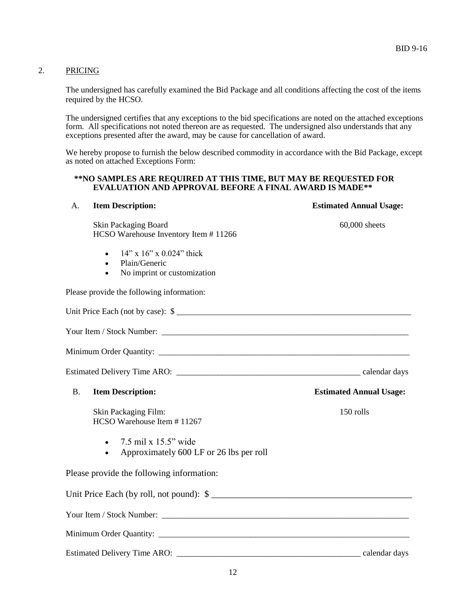### 2. PRICING

The undersigned has carefully examined the Bid Package and all conditions affecting the cost of the items required by the HCSO.

The undersigned certifies that any exceptions to the bid specifications are noted on the attached exceptions form. All specifications not noted thereon are as requested. The undersigned also understands that any exceptions presented after the award, may be cause for cancellation of award.

We hereby propose to furnish the below described commodity in accordance with the Bid Package, except as noted on attached Exceptions Form:

#### **\*\*NO SAMPLES ARE REQUIRED AT THIS TIME, BUT MAY BE REQUESTED FOR EVALUATION AND APPROVAL BEFORE A FINAL AWARD IS MADE\*\***

| <b>Item Description:</b><br>A.                                                                                                                                                                                                | <b>Estimated Annual Usage:</b> |
|-------------------------------------------------------------------------------------------------------------------------------------------------------------------------------------------------------------------------------|--------------------------------|
| Skin Packaging Board<br>HCSO Warehouse Inventory Item #11266                                                                                                                                                                  | 60,000 sheets                  |
| $14$ " x $16$ " x $0.024$ " thick<br>$\bullet$<br>Plain/Generic<br>$\bullet$<br>No imprint or customization<br>$\bullet$                                                                                                      |                                |
| Please provide the following information:                                                                                                                                                                                     |                                |
| Unit Price Each (not by case): \$                                                                                                                                                                                             |                                |
|                                                                                                                                                                                                                               |                                |
| Minimum Order Quantity: National Communication of the Communication of the Communication of the Communication of the Communication of the Communication of the Communication of the Communication of the Communication of the |                                |
|                                                                                                                                                                                                                               |                                |
| <b>B.</b><br><b>Item Description:</b>                                                                                                                                                                                         | <b>Estimated Annual Usage:</b> |
| Skin Packaging Film:<br>HCSO Warehouse Item #11267                                                                                                                                                                            | 150 rolls                      |
| $\bullet$ 7.5 mil x 15.5" wide<br>Approximately 600 LF or 26 lbs per roll<br>$\bullet$                                                                                                                                        |                                |
| Please provide the following information:                                                                                                                                                                                     |                                |
|                                                                                                                                                                                                                               |                                |
|                                                                                                                                                                                                                               |                                |
|                                                                                                                                                                                                                               |                                |
| <b>Estimated Delivery Time ARO:</b><br><u> 1989 - Johann Stoff, deutscher Stoff, der Stoff, der Stoff, der Stoff, der Stoff, der Stoff, der Stoff, der S</u>                                                                  | calendar days                  |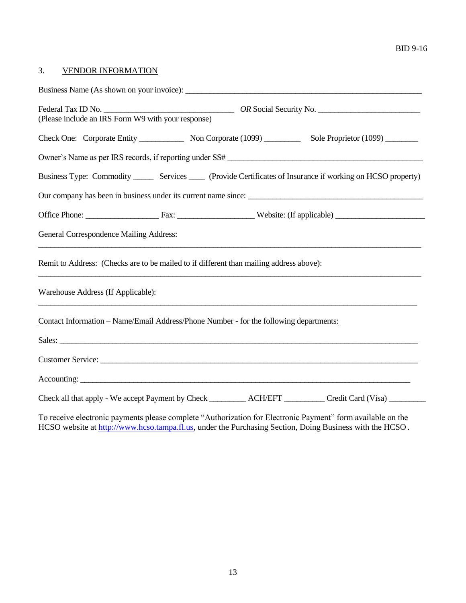### BID 9-16

# 3. VENDOR INFORMATION

| (Please include an IRS Form W9 with your response)                                                                           |  |  |  |  |
|------------------------------------------------------------------------------------------------------------------------------|--|--|--|--|
| Check One: Corporate Entity Non Corporate (1099) Sole Proprietor (1099)                                                      |  |  |  |  |
| Owner's Name as per IRS records, if reporting under SS#                                                                      |  |  |  |  |
| Business Type: Commodity _______ Services _____ (Provide Certificates of Insurance if working on HCSO property)              |  |  |  |  |
| Our company has been in business under its current name since:                                                               |  |  |  |  |
|                                                                                                                              |  |  |  |  |
| General Correspondence Mailing Address:<br>,我们也不能在这里的时候,我们也不能在这里的时候,我们也不能会在这里的时候,我们也不能会在这里的时候,我们也不能会在这里的时候,我们也不能会在这里的时候,我们也不 |  |  |  |  |
| Remit to Address: (Checks are to be mailed to if different than mailing address above):                                      |  |  |  |  |
| Warehouse Address (If Applicable):                                                                                           |  |  |  |  |
| Contact Information – Name/Email Address/Phone Number - for the following departments:                                       |  |  |  |  |
|                                                                                                                              |  |  |  |  |
|                                                                                                                              |  |  |  |  |
|                                                                                                                              |  |  |  |  |
|                                                                                                                              |  |  |  |  |

To receive electronic payments please complete "Authorization for Electronic Payment" form available on the HCSO website at http:/[/www.hcso.tampa.fl.us,](http://www.hcso.tampa.fl.us/) under the Purchasing Section, Doing Business with the HCSO.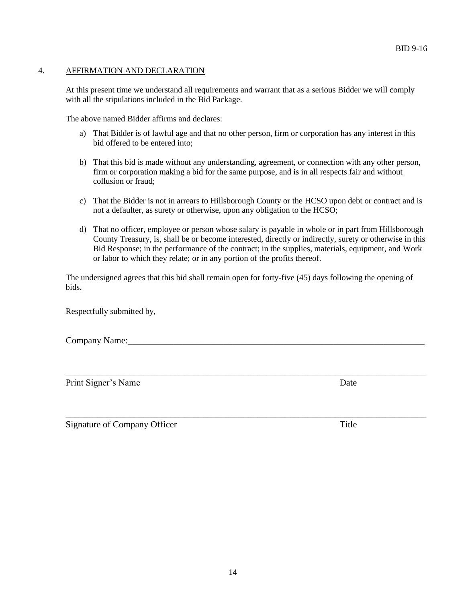## 4. AFFIRMATION AND DECLARATION

At this present time we understand all requirements and warrant that as a serious Bidder we will comply with all the stipulations included in the Bid Package.

The above named Bidder affirms and declares:

- a) That Bidder is of lawful age and that no other person, firm or corporation has any interest in this bid offered to be entered into;
- b) That this bid is made without any understanding, agreement, or connection with any other person, firm or corporation making a bid for the same purpose, and is in all respects fair and without collusion or fraud;
- c) That the Bidder is not in arrears to Hillsborough County or the HCSO upon debt or contract and is not a defaulter, as surety or otherwise, upon any obligation to the HCSO;
- d) That no officer, employee or person whose salary is payable in whole or in part from Hillsborough County Treasury, is, shall be or become interested, directly or indirectly, surety or otherwise in this Bid Response; in the performance of the contract; in the supplies, materials, equipment, and Work or labor to which they relate; or in any portion of the profits thereof.

The undersigned agrees that this bid shall remain open for forty-five (45) days following the opening of bids.

\_\_\_\_\_\_\_\_\_\_\_\_\_\_\_\_\_\_\_\_\_\_\_\_\_\_\_\_\_\_\_\_\_\_\_\_\_\_\_\_\_\_\_\_\_\_\_\_\_\_\_\_\_\_\_\_\_\_\_\_\_\_\_\_\_\_\_\_\_\_\_\_\_\_\_\_\_\_\_

\_\_\_\_\_\_\_\_\_\_\_\_\_\_\_\_\_\_\_\_\_\_\_\_\_\_\_\_\_\_\_\_\_\_\_\_\_\_\_\_\_\_\_\_\_\_\_\_\_\_\_\_\_\_\_\_\_\_\_\_\_\_\_\_\_\_\_\_\_\_\_\_\_\_\_\_\_\_\_

Respectfully submitted by,

Company Name:

Print Signer's Name Date

Signature of Company Officer Title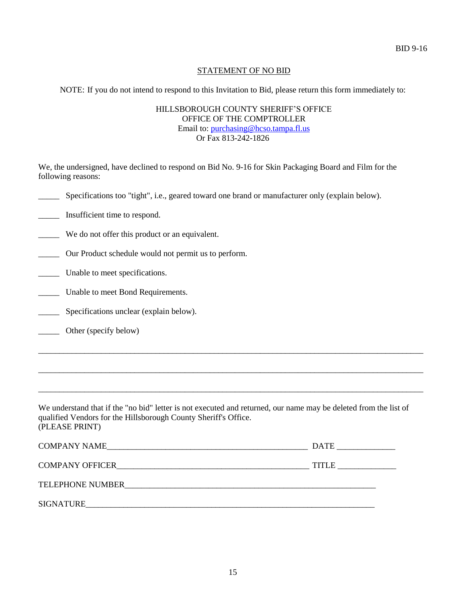# STATEMENT OF NO BID

NOTE: If you do not intend to respond to this Invitation to Bid, please return this form immediately to:

HILLSBOROUGH COUNTY SHERIFF'S OFFICE OFFICE OF THE COMPTROLLER Email to: [purchasing@hcso.tampa.fl.us](mailto:purchasing@hcso.tampa.fl.us) Or Fax 813-242-1826

We, the undersigned, have declined to respond on Bid No. 9-16 for Skin Packaging Board and Film for the following reasons:

\_\_\_\_\_ Specifications too "tight", i.e., geared toward one brand or manufacturer only (explain below).

\_\_\_\_\_ Insufficient time to respond.

\_\_\_\_\_ We do not offer this product or an equivalent.

\_\_\_\_\_ Our Product schedule would not permit us to perform.

Unable to meet specifications.

\_\_\_\_\_ Unable to meet Bond Requirements.

Specifications unclear (explain below).

\_\_\_\_\_ Other (specify below)

We understand that if the "no bid" letter is not executed and returned, our name may be deleted from the list of qualified Vendors for the Hillsborough County Sheriff's Office. (PLEASE PRINT)

\_\_\_\_\_\_\_\_\_\_\_\_\_\_\_\_\_\_\_\_\_\_\_\_\_\_\_\_\_\_\_\_\_\_\_\_\_\_\_\_\_\_\_\_\_\_\_\_\_\_\_\_\_\_\_\_\_\_\_\_\_\_\_\_\_\_\_\_\_\_\_\_\_\_\_\_\_\_\_\_\_\_\_\_\_\_\_\_\_\_\_\_

\_\_\_\_\_\_\_\_\_\_\_\_\_\_\_\_\_\_\_\_\_\_\_\_\_\_\_\_\_\_\_\_\_\_\_\_\_\_\_\_\_\_\_\_\_\_\_\_\_\_\_\_\_\_\_\_\_\_\_\_\_\_\_\_\_\_\_\_\_\_\_\_\_\_\_\_\_\_\_\_\_\_\_\_\_\_\_\_\_\_\_\_

\_\_\_\_\_\_\_\_\_\_\_\_\_\_\_\_\_\_\_\_\_\_\_\_\_\_\_\_\_\_\_\_\_\_\_\_\_\_\_\_\_\_\_\_\_\_\_\_\_\_\_\_\_\_\_\_\_\_\_\_\_\_\_\_\_\_\_\_\_\_\_\_\_\_\_\_\_\_\_\_\_\_\_\_\_\_\_\_\_\_\_\_

| <b>COMPANY NAME</b>    | <b>DATE</b> |
|------------------------|-------------|
| <b>COMPANY OFFICER</b> | TITI        |

TELEPHONE NUMBER\_\_\_\_\_\_\_\_\_\_\_\_\_\_\_\_\_\_\_\_\_\_\_\_\_\_\_\_\_\_\_\_\_\_\_\_\_\_\_\_\_\_\_\_\_\_\_\_\_\_\_\_\_\_\_\_\_\_\_\_

SIGNATURE